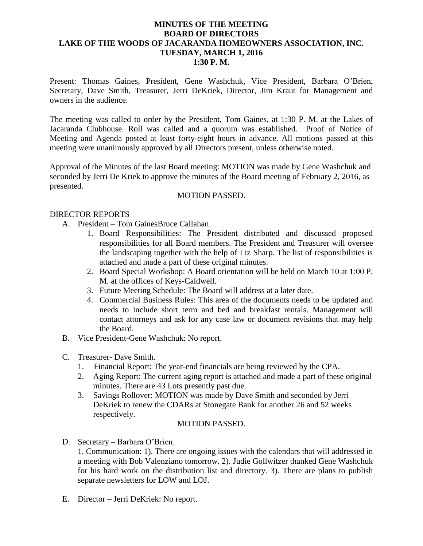### **MINUTES OF THE MEETING BOARD OF DIRECTORS LAKE OF THE WOODS OF JACARANDA HOMEOWNERS ASSOCIATION, INC. TUESDAY, MARCH 1, 2016 1:30 P. M.**

Present: Thomas Gaines, President, Gene Washchuk, Vice President, Barbara O'Brien, Secretary, Dave Smith, Treasurer, Jerri DeKriek, Director, Jim Kraut for Management and owners in the audience.

The meeting was called to order by the President, Tom Gaines, at 1:30 P. M. at the Lakes of Jacaranda Clubhouse. Roll was called and a quorum was established. Proof of Notice of Meeting and Agenda posted at least forty-eight hours in advance. All motions passed at this meeting were unanimously approved by all Directors present, unless otherwise noted.

Approval of the Minutes of the last Board meeting: MOTION was made by Gene Washchuk and seconded by Jerri De Kriek to approve the minutes of the Board meeting of February 2, 2016, as presented.

#### MOTION PASSED.

#### DIRECTOR REPORTS

- A. President Tom GainesBruce Callahan.
	- 1. Board Responsibilities: The President distributed and discussed proposed responsibilities for all Board members. The President and Treasurer will oversee the landscaping together with the help of Liz Sharp. The list of responsibilities is attached and made a part of these original minutes.
	- 2. Board Special Workshop: A Board orientation will be held on March 10 at 1:00 P. M. at the offices of Keys-Caldwell.
	- 3. Future Meeting Schedule: The Board will address at a later date.
	- 4. Commercial Business Rules: This area of the documents needs to be updated and needs to include short term and bed and breakfast rentals. Management will contact attorneys and ask for any case law or document revisions that may help the Board.
- B. Vice President-Gene Washchuk: No report.
- C. Treasurer- Dave Smith.
	- 1. Financial Report: The year-end financials are being reviewed by the CPA.
	- 2. Aging Report: The current aging report is attached and made a part of these original minutes. There are 43 Lots presently past due.
	- 3. Savings Rollover: MOTION was made by Dave Smith and seconded by Jerri DeKriek to renew the CDARs at Stonegate Bank for another 26 and 52 weeks respectively.

#### MOTION PASSED.

D. Secretary – Barbara O'Brien.

1. Communication: 1). There are ongoing issues with the calendars that will addressed in a meeting with Bob Valenziano tomorrow. 2). Judie Gollwitzer thanked Gene Washchuk for his hard work on the distribution list and directory. 3). There are plans to publish separate newsletters for LOW and LOJ.

E. Director – Jerri DeKriek: No report.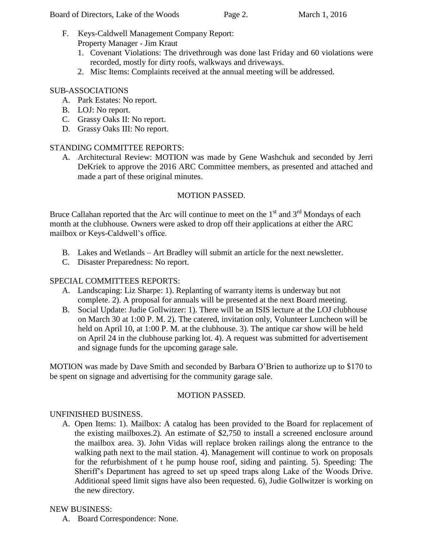- F. Keys-Caldwell Management Company Report: Property Manager - Jim Kraut
	- 1. Covenant Violations: The drivethrough was done last Friday and 60 violations were recorded, mostly for dirty roofs, walkways and driveways.
	- 2. Misc Items: Complaints received at the annual meeting will be addressed.

## SUB-ASSOCIATIONS

- A. Park Estates: No report.
- B. LOJ: No report.
- C. Grassy Oaks II: No report.
- D. Grassy Oaks III: No report.

# STANDING COMMITTEE REPORTS:

A. Architectural Review: MOTION was made by Gene Washchuk and seconded by Jerri DeKriek to approve the 2016 ARC Committee members, as presented and attached and made a part of these original minutes.

# MOTION PASSED.

Bruce Callahan reported that the Arc will continue to meet on the  $1<sup>st</sup>$  and  $3<sup>rd</sup>$  Mondays of each month at the clubhouse. Owners were asked to drop off their applications at either the ARC mailbox or Keys-Caldwell's office.

- B. Lakes and Wetlands Art Bradley will submit an article for the next newsletter.
- C. Disaster Preparedness: No report.

## SPECIAL COMMITTEES REPORTS:

- A. Landscaping: Liz Sharpe: 1). Replanting of warranty items is underway but not complete. 2). A proposal for annuals will be presented at the next Board meeting.
- B. Social Update: Judie Gollwitzer: 1). There will be an ISIS lecture at the LOJ clubhouse on March 30 at 1:00 P. M. 2). The catered, invitation only, Volunteer Luncheon will be held on April 10, at 1:00 P. M. at the clubhouse. 3). The antique car show will be held on April 24 in the clubhouse parking lot. 4). A request was submitted for advertisement and signage funds for the upcoming garage sale.

MOTION was made by Dave Smith and seconded by Barbara O'Brien to authorize up to \$170 to be spent on signage and advertising for the community garage sale.

## MOTION PASSED.

## UNFINISHED BUSINESS.

A. Open Items: 1). Mailbox: A catalog has been provided to the Board for replacement of the existing mailboxes.2). An estimate of \$2,750 to install a screened enclosure around the mailbox area. 3). John Vidas will replace broken railings along the entrance to the walking path next to the mail station. 4). Management will continue to work on proposals for the refurbishment of t he pump house roof, siding and painting. 5). Speeding: The Sheriff's Department has agreed to set up speed traps along Lake of the Woods Drive. Additional speed limit signs have also been requested. 6), Judie Gollwitzer is working on the new directory.

## NEW BUSINESS:

A. Board Correspondence: None.